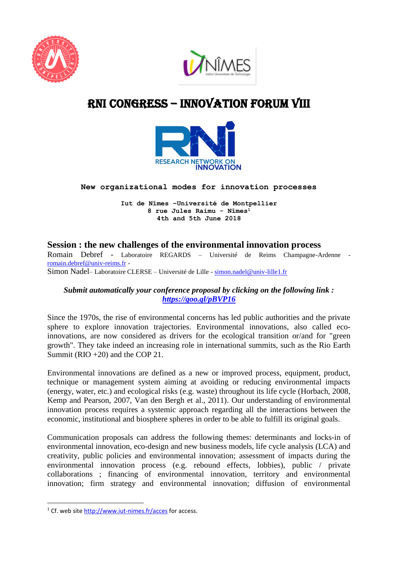



# RNI cONGRESS – innovation Forum VIII



## **New organizational modes for innovation processes**

**Iut de Nîmes –Université de Montpellier 8 rue Jules Raimu - Nîmes<sup>1</sup> 4th and 5th June 2018**

# **Session : the new challenges of the environmental innovation process**

Romain Debref - Laboratoire REGARDS – Université de Reims Champagne-Ardenne [romain.debref@univ-reims.fr](mailto:romain.debref@univ-reims.fr) -

Simon Nadel-Laboratoire CLERSE - Université de Lille - [simon.nadel@univ-lille1.fr](mailto:simon.nadel@univ-lille1.fr)

## *Submit automatically your conference proposal by clicking on the following link : <https://goo.gl/pBVP16>*

Since the 1970s, the rise of environmental concerns has led public authorities and the private sphere to explore innovation trajectories. Environmental innovations, also called ecoinnovations, are now considered as drivers for the ecological transition or/and for "green growth". They take indeed an increasing role in international summits, such as the Rio Earth Summit (RIO +20) and the COP 21.

Environmental innovations are defined as a new or improved process, equipment, product, technique or management system aiming at avoiding or reducing environmental impacts (energy, water, etc.) and ecological risks (e.g. waste) throughout its life cycle (Horbach, 2008, Kemp and Pearson, 2007, Van den Bergh et al., 2011). Our understanding of environmental innovation process requires a systemic approach regarding all the interactions between the economic, institutional and biosphere spheres in order to be able to fulfill its original goals.

Communication proposals can address the following themes: determinants and locks-in of environmental innovation, eco-design and new business models, life cycle analysis (LCA) and creativity, public policies and environmental innovation; assessment of impacts during the environmental innovation process (e.g. rebound effects, lobbies), public / private collaborations ; financing of environmental innovation, territory and environmental innovation; firm strategy and environmental innovation; diffusion of environmental

**.** 

<sup>&</sup>lt;sup>1</sup> Cf. web site<http://www.iut-nimes.fr/acces> for access.